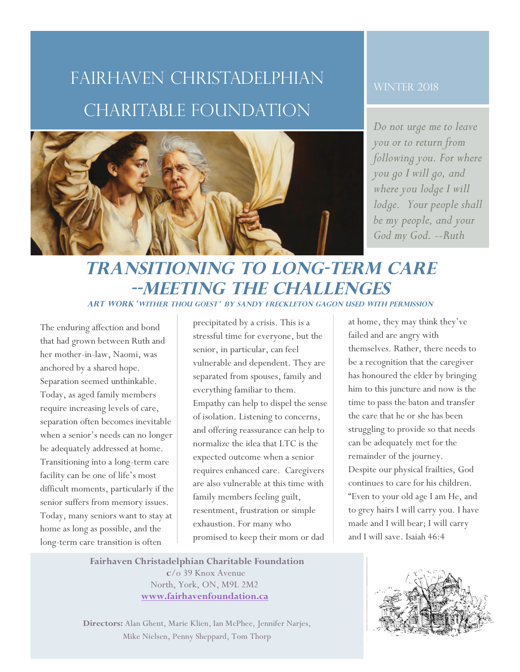## Fairhaven Christadelphian charitable Foundation



#### **WINTER 2018**

*Do not urge me to leave you or to return from following you. For where you go I will go, and where you lodge I will lodge. Your people shall be my people, and your God my God. --Ruth*

### **Transitioning to Long-Term Care --Meeting the Challenges Art Work**'**Wither Thou Goest**' **by Sandy Freckleton Gagon used with Permission**

The enduring affection and bond that had grown between Ruth and her mother-in-law, Naomi, was anchored by a shared hope. Separation seemed unthinkable. Today, as aged family members require increasing levels of care, separation often becomes inevitable when a senior's needs can no longer be adequately addressed at home. Transitioning into a long-term care facility can be one of life's most difficult moments, particularly if the senior suffers from memory issues. Today, many seniors want to stay at home as long as possible, and the long-term care transition is often

precipitated by a crisis. This is a stressful time for everyone, but the senior, in particular, can feel vulnerable and dependent. They are separated from spouses, family and everything familiar to them. Empathy can help to dispel the sense of isolation. Listening to concerns, and offering reassurance can help to normalize the idea that LTC is the expected outcome when a senior requires enhanced care. Caregivers are also vulnerable at this time with family members feeling guilt, resentment, frustration or simple exhaustion. For many who promised to keep their mom or dad

at home, they may think they've failed and are angry with themselves. Rather, there needs to be a recognition that the caregiver has honoured the elder by bringing him to this juncture and now is the time to pass the baton and transfer the care that he or she has been struggling to provide so that needs can be adequately met for the remainder of the journey. Despite our physical frailties, God continues to care for his children. "Even to your old age I am He, and to grey hairs I will carry you. I have made and I will bear; I will carry and I will save. Isaiah 46:4

**Fairhaven Christadelphian Charitable Foundation c**/o 39 Knox Avenue North, York, ON, M9L 2M2

**www.fairhavenfoundation.ca** 

**Directors:** Alan Ghent, Marie Klien, Ian McPhee, Jennifer Narjes, Mike Nielsen, Penny Sheppard, Tom Thorp

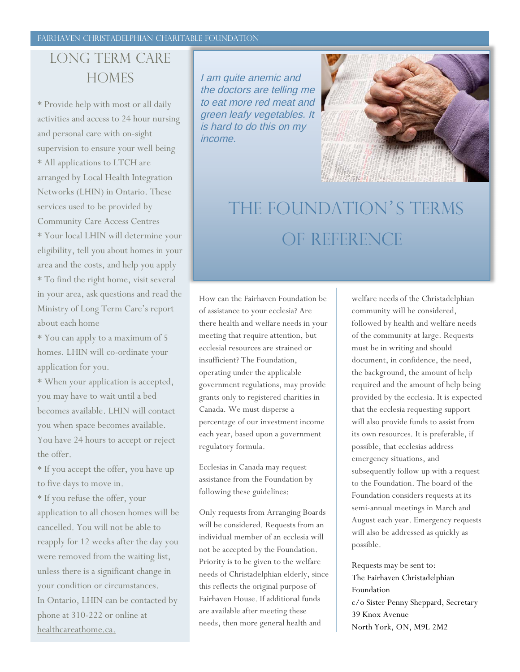### Long term care **HOMES**

\* Provide help with most or all daily activities and access to 24 hour nursing and personal care with on-sight supervision to ensure your well being \* All applications to LTCH are arranged by Local Health Integration Networks (LHIN) in Ontario. These services used to be provided by Community Care Access Centres \* Your local LHIN will determine your eligibility, tell you about homes in your area and the costs, and help you apply \* To find the right home, visit several in your area, ask questions and read the Ministry of Long Term Care's report about each home

\* You can apply to a maximum of 5 homes. LHIN will co-ordinate your application for you.

\* When your application is accepted, you may have to wait until a bed becomes available. LHIN will contact you when space becomes available. You have 24 hours to accept or reject the offer.

\* If you accept the offer, you have up to five days to move in.

\* If you refuse the offer, your application to all chosen homes will be cancelled. You will not be able to reapply for 12 weeks after the day you were removed from the waiting list, unless there is a significant change in your condition or circumstances. In Ontario, LHIN can be contacted by phone at 310-222 or online at healthcareathome.ca.

I am quite anemic and the doctors are telling me to eat more red meat and green leafy vegetables. It is hard to do this on my income.



# The Foundation's terms oF reference

How can the Fairhaven Foundation be of assistance to your ecclesia? Are there health and welfare needs in your meeting that require attention, but ecclesial resources are strained or insufficient? The Foundation, operating under the applicable government regulations, may provide grants only to registered charities in Canada. We must disperse a percentage of our investment income each year, based upon a government regulatory formula.

Ecclesias in Canada may request assistance from the Foundation by following these guidelines:

Only requests from Arranging Boards will be considered. Requests from an individual member of an ecclesia will not be accepted by the Foundation. Priority is to be given to the welfare needs of Christadelphian elderly, since this reflects the original purpose of Fairhaven House. If additional funds are available after meeting these needs, then more general health and

welfare needs of the Christadelphian community will be considered, followed by health and welfare needs of the community at large. Requests must be in writing and should document, in confidence, the need, the background, the amount of help required and the amount of help being provided by the ecclesia. It is expected that the ecclesia requesting support will also provide funds to assist from its own resources. It is preferable, if possible, that ecclesias address emergency situations, and subsequently follow up with a request to the Foundation. The board of the Foundation considers requests at its semi-annual meetings in March and August each year. Emergency requests will also be addressed as quickly as possible.

Requests may be sent to: The Fairhaven Christadelphian Foundation c/o Sister Penny Sheppard, Secretary 39 Knox Avenue North York, ON, M9L 2M2